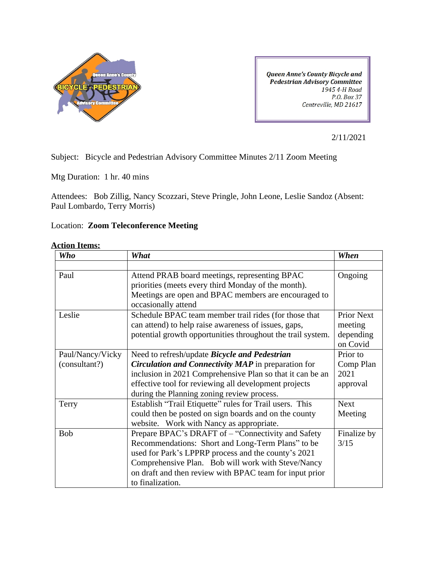

Queen Anne's County Bicycle and **Pedestrian Advisory Committee** 1945 4-H Road P.O. Box 37 Centreville, MD 21617

2/11/2021

Subject: Bicycle and Pedestrian Advisory Committee Minutes 2/11 Zoom Meeting

Mtg Duration: 1 hr. 40 mins

Attendees: Bob Zillig, Nancy Scozzari, Steve Pringle, John Leone, Leslie Sandoz (Absent: Paul Lombardo, Terry Morris)

## Location: **Zoom Teleconference Meeting**

| <b>Action Items:</b> |  |
|----------------------|--|
|                      |  |

| <b>Who</b>       | What                                                                                                                                                                                                                                                                                                | When                                                  |
|------------------|-----------------------------------------------------------------------------------------------------------------------------------------------------------------------------------------------------------------------------------------------------------------------------------------------------|-------------------------------------------------------|
|                  |                                                                                                                                                                                                                                                                                                     |                                                       |
| Paul             | Attend PRAB board meetings, representing BPAC<br>priorities (meets every third Monday of the month).<br>Meetings are open and BPAC members are encouraged to<br>occasionally attend                                                                                                                 | Ongoing                                               |
| Leslie           | Schedule BPAC team member trail rides (for those that<br>can attend) to help raise awareness of issues, gaps,<br>potential growth opportunities throughout the trail system.                                                                                                                        | <b>Prior Next</b><br>meeting<br>depending<br>on Covid |
| Paul/Nancy/Vicky | Need to refresh/update <i>Bicycle and Pedestrian</i>                                                                                                                                                                                                                                                | Prior to                                              |
| (consultant?)    | <b>Circulation and Connectivity MAP</b> in preparation for<br>inclusion in 2021 Comprehensive Plan so that it can be an<br>effective tool for reviewing all development projects<br>during the Planning zoning review process.                                                                      | Comp Plan<br>2021<br>approval                         |
| Terry            | Establish "Trail Etiquette" rules for Trail users. This<br>could then be posted on sign boards and on the county<br>website. Work with Nancy as appropriate.                                                                                                                                        | <b>Next</b><br>Meeting                                |
| <b>Bob</b>       | Prepare BPAC's DRAFT of - "Connectivity and Safety<br>Recommendations: Short and Long-Term Plans" to be<br>used for Park's LPPRP process and the county's 2021<br>Comprehensive Plan. Bob will work with Steve/Nancy<br>on draft and then review with BPAC team for input prior<br>to finalization. | Finalize by<br>3/15                                   |